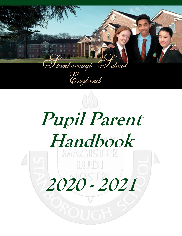

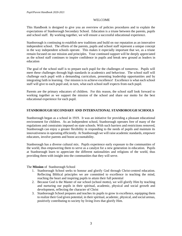#### WELCOME

<span id="page-3-0"></span>This Handbook is designed to give you an overview of policies procedures and to explain the expectations of Stanborough Secondary School. Education is a triune between the parents, pupils and school staff. By working together, we will ensure a successful educational experience.

Stanborough is continuing to establish new traditions and build on our reputation as an innovative independent school. The efforts of the parents, pupils and school staff represent a unique concept in the way independent schools operate. This makes it especially important that we, as a triune remain focused on our mission and principles. Your continued support will be deeply appreciated as the school staff continues to inspire confidence in pupils and break new ground as leaders in education

The goal of the school staff is to prepare each pupil for the challenges of tomorrow. Pupils will meet these challenges through high standards in academics and behaviour. The school staff will challenge each pupil with a demanding curriculum, presenting leadership opportunities and by integrating faith in learning. Our mission is to achieve excellence! Excellence is what each school staff will give to each pupil and, in turn, what each school staff expects from each pupil.

Parents are the primary educators of children. For this reason, the school staff look forward to working together as we support the mission of the school and share our motto for the best educational experience for each pupil.

## <span id="page-3-1"></span>**STANBOROUGH SECONDARY AND INTERNATIONAL STANBOROUGH SCHOOLS**

Stanborough began as a school in 1919. It was an initiative for providing a pleasant educational environment for children. As an Independent school, Stanborough operates free of many of the regulations and constraints imposed on state schools. With such barriers and restrictions removed, Stanborough can enjoy a greater flexibility in responding to the needs of pupils and maintain its innovativeness in operating efficiently. At Stanborough we will raise academic standards, empower educators, involve parents and boost accountability.

Stanborough has a diverse cultural mix. Pupils experience early exposure to the communities of the world, thus empowering them to serve as a catalyst for a new generation in education. Pupils at Stanborough learn to appreciate the different nationalities and religions of the world, thus providing them with insight into the communities that they will serve.

### The **Mission** of Stanborough School

- 1. Stanborough School seeks to honour and glorify God through Christ-centred education. Reflecting Biblical principles we are committed to excellence in teaching the mind, reaching the heart and inspiring pupils to attain their full potential
- 2. Because God is the Master of our school (school motto), we will glorify Him by teaching and nurturing our pupils in their spiritual, academic, physical and social growth and development, reflecting the character of Christ
- 3. Stanborough School prepares and teaches its pupils to grow in excellence, equipping them to realize their God given potential, in their spiritual, academic, physical, and social arenas, positively contributing to society by living lives that glorify Him.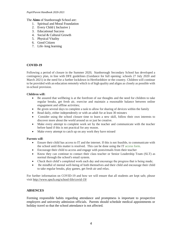The **Aims** of Stanborough School are:

- 1. Spiritual and Moral Foundation
- 2. Every Child ( Inclusive )
- 3. Educational Success
- 4. Social & Cultural Growth
- 5. Physical Vitality
- 6. Good Citizen
- 7. Life–long learning

### **COVID-19**

Following a period of closure in the Summer 2020, Stanborough Secondary School has developed a contingency plan, in line with DFE guidelines (Guidance for full opening: schools 27 July 2020 and March 2021) in the need for a further lockdown in Hertfordshire or the country. Children will continue to be provided with an education remotely which is of high quality and aligns as closely as possible with in-school provision.

#### **Children will:**

- Be assured that wellbeing is at the forefront of our thoughts and the need for children to take regular breaks, get fresh air, exercise and maintain a reasonable balance between online engagement and offline activities;
- Be given several days to complete a task to allow for sharing of devices within the family
- Read daily, either independently or with an adult for at least 30 minutes
- Consider using the school closure time to learn a new skill, follow their own interests to discover more about the world around us or just be creative.
- Make every attempt to complete work set by the teacher and communicate with the teacher before hand if this is not practical for any reason.
- Make every attempt to catch up on any work they have missed

### **Parents will**:

- Ensure their child has access to IT and the internet. If this is not feasible, to communicate with the school until this matter is resolved. This can be done using the IT [access form.](http://www.spsch.org/requestsupport/)
- Encourage their child to access and engage with posts/emails from their teacher
- Know they can continue to contact their class teacher or Senior Leadership Team (SLT) as normal through the school's email system.
- Check their child's completed work each day and encourage the progress that is being made;
- Be mindful of mental well-being of both themselves and their child and encourage their child to take regular breaks, play games, get fresh air and relax.

For further information on COVID-19 and how we will ensure that all students are kept safe, please visit<http://www.spsch.org/school-life/covid-19/>

### <span id="page-4-0"></span>**ABSENCES**

Forming responsible habits regarding attendance and promptness is important to prospective employers and university admission officials. Parents should schedule medical appointments or holiday travel so that the school attendance is not affected.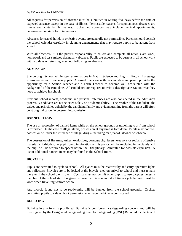All requests for permission of absence must be submitted in writing five days before the date of expected absence except in the case of illness. Permissible reasons for spontaneous absences are illness and acute family matters. Scheduled absences may include medical appointments, bereavement or sixth form interviews.

Absences for travel, holidays or festive events are generally not permissible. Parents should consult the school calendar carefully in planning engagements that may require pupils to be absent from school.

With all absences, it is the pupil's responsibility to collect and complete all notes, class work, homework and tests missed during any absence. Pupils are expected to be current in all schoolwork within 5 days of returning to school following an absence.

# <span id="page-5-0"></span>**ADMISSION**

Stanborough School administers examinations in Maths, Science and English. English Language exams are given to overseas pupils. A formal interview with the candidate and parent provides the opportunity for a Senior Teacher and a Form Teacher to become well acquainted with the background of the candidate. All candidates are required to write a descriptive essay on what they hope to achieve in school.

Previous school reports, academic and personal references are also considered in the admission process. Candidates are not selected solely on academic ability. The resolve of the candidate, the values and principles upheld by the candidate/family and evident training from the parent will often be strong indicators in determining admission.

## <span id="page-5-1"></span>**BANNED ITEMS**

The use or possession of banned items while on the school grounds or travelling to or from school is forbidden. In the case of illegal items, possession at any time is forbidden. Pupils may not use, possess or be under the influence of illegal drugs (including marijuana), alcohol or tobacco.

The possession of firearms, knifes, explosives, pornography, lasers, weapons or socially offensive material is forbidden. A pupil found in violation of this policy will be excluded immediately and the pupil will be required to appear before the Disciplinary Committee for possible expulsion. A list of additional banned items may be found in the School Rules.

### <span id="page-5-2"></span>**BICYCLES**

Pupils are permitted to cycle to school. All cycles must be roadworthy and carry operative lights and reflectors. Bicycles are to be locked at the bicycle shed on arrival to school and must remain there until the school day is over. Cyclists must not permit other pupils to use bicycles unless a member of the school staff has given express permission and at all times cycle helmets must be worn when travelling to/from school.

Any bicycle found not to be roadworthy will be banned from the school grounds. Cyclists permitting pupils to ride without permission may have the bicycle confiscated.

### <span id="page-5-3"></span>**BULLYING**

Bullying in any form is prohibited. Bullying is considered a safeguarding concern and will be investigated by the Designated Safeguarding Lead for Safeguarding (DSL) Reported incidents will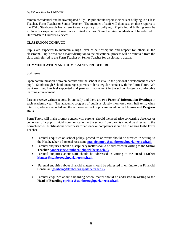remain confidential and be investigated fully. Pupils should report incidents of bullying to a Class Teacher, Form Teacher or Senior Teacher. The member of staff will then pass on these reports to the DSL. Stanborough has a zero tolerance policy for bullying. Pupils found bullying may be excluded or expelled and may face criminal charges. Some bullying incidents will be referred to Hertfordshire Children Services.

## <span id="page-6-0"></span>**CLASSROOM CONDUCT**

Pupils are expected to maintain a high level of self-discipline and respect for others in the classroom. Pupils who are a major disruption to the educational process will be removed from the class and referred to the Form Teacher or Senior Teacher for disciplinary action.

## <span id="page-6-1"></span>**COMMUNICATION AND COMPLAINTS PROCEDURE**

### Staff email

Open communication between parents and the school is vital to the personal development of each pupil. Stanborough School encourages parents to have regular contact with the Form Tutor. We want each pupil to feel supported and parental involvement in the school fosters a comfortable learning environment.

Parents receive written reports bi-annually and there are two **Parents' Information Evenings** in each academic year. The academic progress of pupils is closely monitored each half term, when interim grades are reported and the achievements of pupils are noted on the **Honour and Progress Rolls.**

Form Tutors will make prompt contact with parents, should the need arise concerning absences or behaviour of a pupil. Initial communication to the school from parents should be directed to the Form Teacher. Notifications or requests for absence or complaints should be in writing to the Form Teacher.

- Parental enquiries on school policy, procedure or events should be directed in writing to the Headteacher's Personal Assistant **[apapaioannou@stanboroughpark.herts.sch.uk](mailto:apapaioannou@stanboroughpark.herts.sch.uk)**
- Parental enquiries about a disciplinary matter should be addressed in writing to the **Senior Teacher [aanderson@stanboroughpark.herts.sch.uk](mailto:aanderson@stanboroughpark.herts.sch.uk)**
- Parental enquiries about staff should be addressed in writing to the **Head Teacher [kjames@stanboroughpark.herts.sch.uk](mailto:kjames@stanboroughpark.herts.sch.uk)**
- Parental enquiries about financial matters should be addressed in writing to our Financial Consultant [gbarham@stanboroughpark.herts.sch.uk](mailto:gbarham@stanboroughpark.herts.sch.uk)
- Parental enquiries about a boarding school matter should be addressed in writing to the **Head of Boarding [cprince@stanboroughpark.herts.sch.uk](mailto:cprince@stanboroughpark.herts.sch.uk)**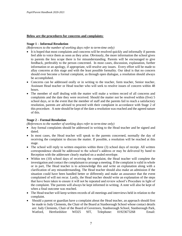### **Below are the procedures for concerns and complaints:**

### **Stage 1 – Informal Resolution**

*(References to the number of working days refer to term-time only)*

- It is hoped that most complaints and concerns will be resolved quickly and informally if parents feel able to voice them as soon as they arise. Obviously, the more information the school gives to parents the less scope there is for misunderstanding. Parents will be encouraged to give feedback, preferably to the person concerned. In most cases, discussion, explanation, further information or an apology, if appropriate, will resolve any issues. Every effort will be made to allay concerns at this stage and with the least possible formality. Our ideal is that no concern should ever become a formal complaint, as through open dialogue, a resolution should always be accomplished.
- Concerns can be addressed orally or in writing to the teacher, form teacher, Senior teacher, Assistant Head teacher or Head teacher who will seek to resolve issues of concern within 48 hours.
- The member of staff dealing with the matter will make a written record of all concerns and complaints and the date they were received. Should the matter not be resolved within (five) 5 school days, or in the event that the member of staff and the parents fail to reach a satisfactory resolution, parents are advised to proceed with their complaint in accordance with Stage 2 of this procedure. A note should be kept of the date a resolution was reached and the agreed nature of this.

# **Stage 2 – Formal Resolution**

*(References to the number of working days refer to term-time only)*

- Any formal complaints should be addressed in writing to the Head teacher and be signed and dated.
- In most cases, the Head teacher will speak to the parents concerned, normally the day of receiving the complaint to discuss the matter. If possible, a resolution will be reached at this stage.
- The school will reply to written enquiries within three (3) school days of receipt. All written correspondence should be addressed to the school's address or may be delivered by hand to Reception with the addressee clearly marked on a sealed envelope.
- Within ten (10) school days of receiving the complaint, the Head teacher will complete the investigation and contact the complainant to arrange a meeting. If the complaint is valid in whole or in part, The Head teacher is to acknowledge this and write an explanation along with a clarification of any misunderstanding. The Head teacher should also make an admission if the situation could have been handled better or differently and make an assurance that the event complained of will not recur. Lastly, the Head teacher should write an explanation of the steps that have been taken to ensure it will not be repeated and review school's Procedure in light of the complaint. The parents will always be kept informed in writing. A note will also be kept of when a final outcome was reached.
- The Head teacher will keep written records of all meetings and interviews held in relation to the complaint.
- Should a parent or guardian have a complaint about the Head teacher, an approach should first be made to Judy Clements, the Chair of the Board at Stanborough School whose contact details are: Judy Clements, Chair of the Board of Governors, Stanborough School, Stanborough Park, Watford, Hertfordshire WD25 9JT, Telephone: 01923673268 Email: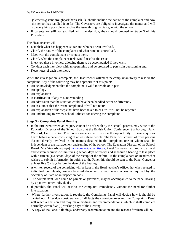[jclements@stanboroughpark.herts.sch.uk,](mailto:jclements@stanboroughpark.herts.sch.uk) should include the nature of the complaint and how the school has handled it so far. The Governors are obliged to investigate the matter and will do everything possible to resolve the issue through a dialogue with the school.

• If parents are still not satisfied with the decision, they should proceed to Stage 3 of this Procedure

The Head teacher will:

- Establish what has happened so far and who has been involved.
- Clarify the nature of the complaint and what remains unresolved.
- Meet with the complainant or contact them.
- Clarify what the complainant feels would resolve the issue. interview those involved, allowing them to be accompanied if they wish.
- Conduct each interview with an open mind and be prepared to persist in questioning and
- Keep notes of each interview.

When the investigation is complete, the Headteacher will meet the complainant to try to resolve the complaint. Any of the following may be appropriate at this point:

- An acknowledgement that the complaint is valid in whole or in part
- An apology
- An explanation
- A clarification of any misunderstanding
- An admission that the situation could have been handled better or differently
- An assurance that the event complained of will not recur
- An explanation of the steps that have been taken to ensure it will not be repeated
- An undertaking to review school Policies considering the complaint.

### **Stage 3 – Complaints Panel Hearing**

- In the rare event when an enquiry cannot be dealt with by the school, parents may write to the Education Director of the School Board at the British Union Conference, Stanborough Park, Watford, Hertfordshire. This correspondence will provide the opportunity to have enquiries heard before a panel consisting of at least three people. The Panel will consist of three persons (3) not directly involved in the matters detailed in the complaint, one of whom shall be independent of the management and running of the school. The Education Director of the School Board (Mrs Gina Abbequaye) [gabbequaye@adventist.uk,](mailto:gabbequaye@adventist.uk) Panel Convenor, will reply to all oral and written enquiries within five (5) school days of receipt and schedule a hearing to take place within fifteen (15) school days of the receipt of the referral. If the complainant or Headteacher wishes to submit information in writing to the Panel this should be sent to the Panel Convenor at least five (5) days before the date of the hearing.
- A written record of the complaint will be kept in the Head teacher's office, that when related to individual complaints, are a classified document, except when access is required by the Secretary of State or an inspection body.
- The complainant, who could be parents or guardians, may be accompanied to the panel hearing by up to two other individuals.
- If possible, the Panel will resolve the complaint immediately without the need for further investigation.
- Where further investigation is required, the Complaints Panel will decide how it should be carried out. After due consideration of all facts they consider relevant, the Complaints Panel will reach a decision and may make findings and recommendations, which it shall complete normally within five (5) working days of the Hearing.
- A copy of the Panel's findings, and/or any recommendation and the reasons for them will be: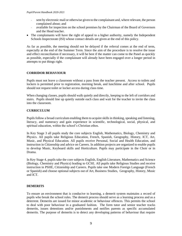- sent by electronic mail or otherwise given to the complainant and, where relevant, the person complained about; and
- available for inspection on the school premises by the Chairman of the Board of Governors and the Head teacher.
- The complainants will have the right of appeal to a higher authority, namely the Independent Schools Inspectorate (ISI) whose contact details are given at the end of this policy.

As far as possible, the meeting should not be delayed if the referral comes at the end of term, especially at the end of the Summer Term. Since the aim of the procedure is to resolve the issue and effect reconciliation if necessary, it will be best if the matter can come to the Panel as quickly as possible, especially if the complainant will already have been engaged over a longer period in attempts to put things right.

## <span id="page-9-0"></span>**CORRIDOR BEHAVIOUR**

Pupils must not leave a classroom without a pass from the teacher present. Access to toilets and lockers is permitted prior to registration, morning break, and lunchtime and after school. Pupils should not request toilet or locker access during class time.

When changing classes, pupils should walk quietly and directly, keeping to the left of corridors and stairs. Pupils should line up quietly outside each class and wait for the teacher to invite the class into the classroom.

## <span id="page-9-1"></span>**CURRICULUM**

Pupils follow a broad curriculum enabling them to acquire skills in thinking, speaking and listening, literacy, and numeracy and gain experience in scientific, technological, social, physical, and spiritual education, within the school's Christian ethos.

In Key Stage 3 all pupils study the core subjects English, Mathematics, Biology, Chemistry and Physics. All pupils take Religious Education, French, Spanish, Geography, History, ICT, Art, Music, and Physical Education. All pupils receive Personal, Social and Health Education, and instruction in Citizenship and advice on Careers. In addition projects are organized to enable pupils to develop Music, Keyboard skills and Horticulture. Pupils may participate in the Choir or in Drama.

In Key Stage 4, pupils take the core subjects English, English Literature, Mathematics and Science (Biology, Chemistry and Physics) leading to GCSE. All pupils take Religious Studies and receive instruction in PSHE, Citizenship and Careers. Pupils take one Modern Foreign Language (French or Spanish) and choose optional subjects out of Art, Business Studies, Geography, History, Music and ICT.

# <span id="page-9-2"></span>**DEMERITS**

To ensure an environment that is conducive to learning, a demerit system maintains a record of pupils who break the school rules. The demerit process should serve as a learning process and as a deterrent. Demerits are issued for minor academic or behaviour offences. This permits the school to deal with poor behaviour in a graduated fashion. The form tutor and senior teacher tracks demerits, issues detentions and/or punishments and notifies parents as specific accumulated demerits. The purpose of demerits is to detect any developing patterns of behaviour that require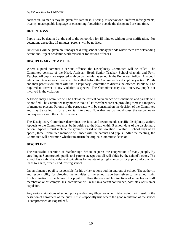correction. Demerits may be given for: tardiness, littering, misbehaviour, uniform infringements, truancy, unacceptable language or consuming food/drink outside the designated are and time.

### <span id="page-10-0"></span>**DETENTIONS**

Pupils may be detained at the end of the school day for 15 minutes without prior notification. For detentions exceeding 15 minutes, parents will be notified.

Detentions will be given on Sundays or during school holiday periods where there are outstanding detentions, urgent academic work missed or for serious offences.

## **DISCIPLINARY COMMITTEE**

Where a pupil commits a serious offence, the Disciplinary Committee will be called. The Committee consists of the Head, Assistant Head, Senior Teacher, School chaplain and Form Teacher. All pupils are expected to abide by the rules as set out in the Behaviour Policy. Any pupil who commits a serious offence will be called before the Committee for disciplinary action. Pupils and their parents will meet with the Disciplinary Committee to discuss the offence. Pupils will be required to answer to any violation suspected. The Committee may also interview pupils not involved in the violation.

A Disciplinary Committee will be held at the earliest convenience of its members and parents will be notified. The Committee may meet without all its members present, providing there is a majority of members present. Parents of the perpetrator will be consulted on the decision of the Committee and may be called in for a parental interview. Note that we do not discuss the outcomes or consequences with the victims parents.

The Disciplinary Committee determines the facts and recommends specific disciplinary action. Appeals to the Committee must be in writing to the Head within 5 school days of the disciplinary action. Appeals must include the grounds, based on the violation. Within 5 school days of an appeal, three Committee members will meet with the parents and pupils. After the meeting, the Committee will determine whether to affirm the original Committee decision.

### <span id="page-10-1"></span>**DISCIPLINE**

The successful operation of Stanborough School requires the cooperation of many people. By enrolling at Stanborough, pupils and parents accept that all will abide by the school's ethos. The school has established rules and guidelines for maintaining high standards for pupil conduct, which leads to a safe, orderly and inviting school.

On enrolment a pupil is responsible for his or her actions both in and out of school. The authority and responsibility for directing the activities of the school have been given to the school staff. Insubordination is the failure of a pupil to follow the reasonable directives of a teacher or staff member on or off campus. Insubordination will result in a parent conference, possible exclusion or expulsion.

Any serious violations of school policy and/or any illegal or other misbehaviour will result in the cessation of enrolment of the pupil. This is especially true where the good reputation of the school is compromised or jeopardized.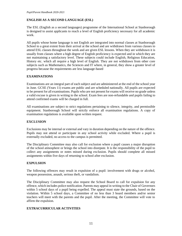# <span id="page-11-0"></span>**ENGLISH AS A SECOND LANGUAGE (ESL)**

The ESL (English as a second languages) programme of the International School at Stanborough is designed to assist applicants to reach a level of English proficiency necessary for all academic work.

All pupils whose home language is not English are integrated into normal classes at Stanborough School to a great extent from their arrival at the school and are withdrawn from various classes to attend ESL classes throughout the week and are given ESL lessons. When they are withdrawn it is usually from classes where a high degree of English proficiency is expected and in which they are not maintaining a satisfactory level. These subjects could include English, Religious Education, History etc. which all require a high level of English. They are not withdrawn from other core subjects such as Mathematics, the Sciences and IT where, in general, they show a greater level of progress because the requirements are less language-based

# **EXAMINATIONS**

Examinations are an integral part of each subject and are administered at the end of the school year in June. GCSE (Years 11) exams are public and are scheduled nationally. All pupils are expected to be present for all examinations. Pupils who are not present for exams will receive no grade unless a valid excuse is given in writing to the school. Exam fees are non-refundable and pupils failing to attend confirmed exams will be charged in full.

All examinations are subject to strict regulations pertaining to silence, integrity, and permissible equipment. Stanborough School will strictly enforce all examination regulations. A copy of examination regulations is available upon written request.

### **EXCLUSION**

Exclusions may be internal or external and vary in duration depending on the nature of the offence. Pupils may not attend or participate in any school activity while excluded. Where a pupil is externally excluded, no access to the campus is permitted.

The Disciplinary Committee may also call for exclusion where a pupil causes a major disruption of the school atmosphere or brings the school into disrepute. It is the responsibility of the pupil to collect any assignments or notes missed during exclusion. Pupils should complete all missed assignments within five days of returning to school after exclusion.

### **EXPULSION**

The following offences may result in expulsion of a pupil: involvement with drugs or alcohol, weapon possession, assault, serious theft, or vandalism.

The Disciplinary Committee may also request the School Board to call for expulsion for any offence, which includes police notification. Parents may appeal in writing to the Chair of Governors within 5 school days of a pupil being expelled. The appeal must state the grounds, based on the violation. Within 5 school days, a Committee of no less than 3 board members and/or senior teachers will meet with the parents and the pupil. After the meeting, the Committee will vote to affirm the expulsion.

### **EXTRACURRICULAR ACTIVITIES**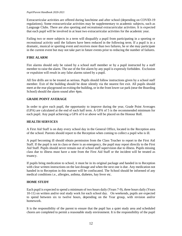Extracurricular activities are offered during lunchtime and after school (depending on COVID-19 regulations). Some extracurricular activities may be supplementary to academic subjects, such as Language Clubs. There are also sporting and recreational extracurricular activities. It is expected that each pupil will be involved in at least two extracurricular activities for the academic year.

Failing two or more subjects in a term will disqualify a pupil from participating in a sporting or recreational activity until the failures have been reduced in the following term. If a pupil is in a dramatic, musical or sporting event and receives more than two failures, he or she may participate in the current event but may not take part in future events prior to reducing the number of failures.

# **FIRE ALARM**

Fire alarms should only be raised by a school staff member or by a pupil instructed by a staff member to raise the alarm. The use of the fire alarm by any pupil is expressly forbidden. Exclusion or expulsion will result in any false alarms raised by a pupil.

All fire drills are to be treated as serious. Pupils should follow instructions given by a school staff member. Exit of the building should be done silently via the nearest fire exit. All pupils should meet at the rear playground on exiting the building, or in the front lower car park (near the Boarding School) should the alarm sound after 4pm.

## <span id="page-12-0"></span>**GRADE POINT AVERAGE**

In order to give each pupil, the opportunity to improve during the year, Grade Point Averages (GPA) are calculated at the end of each half term. A GPA of 5 is the recommended minimum for each pupil. Any pupil achieving a GPA of 6 or above will be placed on the Honour Roll.

### <span id="page-12-1"></span>**HEALTH SERVICES**

A First Aid Staff is on duty every school day in the General Office, located in the Reception area of the school. Parents should report to the Reception when coming to collect a pupil who is ill.

A pupil becoming ill should obtain permission from the Class Teacher to report to the First Aid Staff. If the pupil is not in class or there is an emergency, the pupil may report directly to the First Aid Staff. Pupils should never remain out of school staff supervision due to illness. Pupils missing class due to illness must have a note from the First Aid Staff or the incident will be treated as truancy.

If pupils bring medication to school, it must be in its original package and handed in to Reception with clear written instructions on the last dosage and when the next one is due. Any medication not handed in to Reception in this manner will be confiscated. The School should be informed of any medical conditions i.e., allergies, asthma, diabetes, hay fever etc.

### <span id="page-12-2"></span>**HOME STUDY**

Each pupil is expected to spend a minimum of two hours daily (Years 7-9), three hours daily (Years 10-11) on written and/or oral study work for each school day. On weekends, pupils are expected to spend between six to twelve hours, depending on the Year group, with revision and/or homework.

It is the responsibility of the parent to ensure that the pupil has a quiet study area and scheduled chores are completed to permit a reasonable study environment. It is the responsibility of the pupil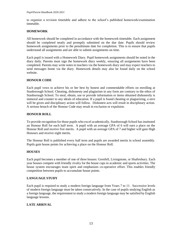to organize a revision timetable and adhere to the school's published homework/examination timetable.

## <span id="page-13-0"></span>**HOMEWORK**

All homework should be completed in accordance with the homework timetable. Each assignment should be completed neatly and promptly submitted on the due date. Pupils should review homework assignments prior to the penultimate date for completion. This is to ensure that pupils understand all assignments and are able to submit assignments on time.

Each pupil is issued with a Homework Diary. Pupil homework assignments should be noted in the diary daily. Parents must sign the homework diary weekly, ensuring all assignments have been completed. Parents may write notes to teachers via the homework diary and may expect teachers to send messages home via the diary. Homework details may also be found daily on the school website.

## <span id="page-13-1"></span>**HONOUR CODE**

Each pupil vows to achieve his or her best by honest and commendable efforts on enrolling at Stanborough School. Cheating, dishonesty and plagiarism in any form are contrary to the ethos of Stanborough School. To steal, obtain, use or provide information or items obtained dishonestly is immoral and counter to any ideals of education. If a pupil is found cheating or plagiarizing, a zero will be given and disciplinary action will follow. Dishonest acts will result in disciplinary action. A serious breach of the Honour Code may result in exclusion or expulsion.

## <span id="page-13-2"></span>**HONOUR ROLL**

To provide recognition for those pupils who excel academically, Stanborough School has instituted an Honour Roll for each half term. A pupil with an average GPA of 6 will earn a place on the Honour Roll and receive five merits. A pupil with an average GPA of 7 and higher will gain High Honours and receive eight merits.

The Honour Roll is published every half term and pupils are awarded merits in school assembly. Pupils gain house points for achieving a place on the Honour Roll.

### <span id="page-13-3"></span>**HOUSES**

Each pupil becomes a member of one of three houses: Grenfell, Livingstone, or Shaftesbury. Each year houses compete with friendly rivalry for the house cups in academic and sports activities. The house system encourages team spirit and emphasizes co-operative effort. This enables friendly competition between pupils to accumulate house points.

### <span id="page-13-4"></span>**LANGUAGE STUDY**

Each pupil is required to study a modern foreign language from Years 7 to 11. Successive levels of modern foreign language must be taken consecutively. In the case of pupils studying English as a foreign language, the requirement to study a modern foreign language may be satisfied by English language lessons.

### <span id="page-13-5"></span>**LATE ARRIVAL**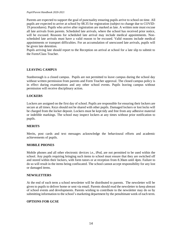Parents are expected to support the goal of punctuality ensuring pupils arrive to school on time. All pupils are expected to arrive at school by 08.35 for registration (subject to change due to COVID-19 procedures). Pupils who arrive after registration are marked as late. A written note must excuse all late arrivals from parents. Scheduled late arrivals, where the school has received prior notice, will be excused. Reasons for scheduled late arrival may include medical appointments. Nonscheduled late arrivals must have a valid reason to be excused. Valid reasons include medical appointments or transport difficulties. For an accumulation of unexcused late arrivals, pupils will be given late detention.

Pupils arriving late should report to the Reception on arrival at school for a late slip to submit to the Form/Class Teacher.

## <span id="page-14-0"></span>**LEAVING CAMPUS**

Stanborough is a closed campus. Pupils are not permitted to leave campus during the school day without written permission from parents and Form Teacher approval. The closed campus policy is in effect during examinations and any other school events. Pupils leaving campus without permission will receive disciplinary action.

## <span id="page-14-1"></span>**LOCKERS**

Lockers are assigned on the first day of school. Pupils are responsible for ensuring their lockers are secure at all times. Keys should not be shared with other pupils. Damaged lockers or lost locks will be charged from the locker deposit. Lockers must be kept tidy and free from any adhesive material or indelible markings. The school may inspect lockers at any times without prior notification to pupils.

### <span id="page-14-2"></span>**MERITS**

Merits, post cards and text messages acknowledge the behavioural efforts and academic achievements of pupils.

### <span id="page-14-3"></span>**MOBILE PHONES**

Mobile phones and all other electronic devices i.e., iPod, are not permitted to be used within the school. Any pupils requiring bringing such items to school must ensure that they are switched off and stored within their lockers, with form tutors or at reception from 8.30am until 4pm. Failure to do so will result in the items being confiscated. The school cannot accept responsibility for any lost or damaged items.

### <span id="page-14-4"></span>**NEWSLETTERS**

At the end of each term a school newsletter will be distributed to parents. The newsletter will be given to pupils to deliver home or sent via email. Parents should read the newsletter to keep abreast of school events and developments. Parents wishing to contribute to the newsletter may do so by submitting information to the school's marketing department by the penultimate week of each term.

### <span id="page-14-5"></span>**OPTIONS FOR GCSE**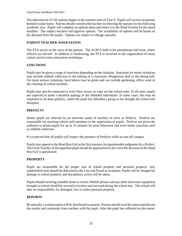The selection for GCSE options begins in the summer term of Year 9. Pupils will receive an options booklet to take home. Parents should consult with teachers in selecting the options for the following academic year. Pupils will complete an options sheet and return it to the Head Teacher by the stated deadline. The subject teachers will approve options. The availability of options will be based on the demand from the pupils. Options are subject to change annually.

# <span id="page-15-0"></span>**PARENT TEACHER ASSOCIATION**

The PTA serves as the voice of the parents. The AGM is held in the penultimate half term, where officers are elected. In addition to fundraising, the PTA is involved in the organization of many school social events and parent workshops.

### **SANCTIONS**

Pupils may be given a range of sanctions depending on the violation. Sanctions for minor violations may include rubbish collection or the tidying of a classroom, Margerison Hall or the dining hall. For more serious violations, hard labour may be given and can include gardening, office work or the cleaning of school facilities.

Pupils may also be requested to write lines, essays or copy out the school rules. In all cases, pupils are expected to make a heartfelt apology to the offended individuals. In some cases, this may be requested to be done publicly, where the pupil has offended a group or has brought the school into disrepute.

### <span id="page-15-1"></span>**PREFECTS**

Senior pupils are selected by an interview panel of teachers to serve as Prefects. Prefects are responsible for assisting school staff members in the supervision of pupils. Prefects are given the authority to detain pupils for up to 15 minutes for poor behaviour and issue minor sanctions such as rubbish collection.

It is expected that all pupils will respect the presence of Prefects while on and off campus.

Pupils may appeal to the Head Boy/Girl in the first instance for questionable judgments by a Prefect. The Form Teacher of the appellant pupil should be approached in the event the decision of the Head Boy/Girl is questioned.

### <span id="page-15-2"></span>**PROPERTY**

Pupils are responsible for the proper care of school property and personal property. Any unidentified item should be delivered to the Lost and Found at reception. Pupils will be charged for damage to school property and disciplinary action will be taken.

Pupils should not bring valuable items to school. Mobile phones and any other electronic equipment brought to school should be secured in lockers and not used during the school day. The school will take no responsibility for damaged, lost or stolen personal property.

### <span id="page-15-3"></span>**REPORTS**

Bi-annually a written report will be distributed to parents. Parents should read the report and discuss the results and comments from teachers with the pupil. After the pupil has reflected on the report,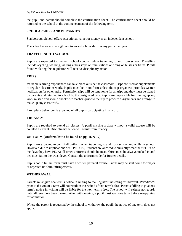the pupil and parent should complete the confirmation sheet. The confirmation sheet should be returned to the school at the commencement of the following term.

## <span id="page-16-0"></span>**SCHOLARSHIPS AND BURSARIES**

Stanborough School offers exceptional value for money as an independent school.

The school reserves the right not to award scholarships in any particular year.

### <span id="page-16-1"></span>**TRAVELLING TO SCHOOL**

Pupils are expected to maintain school conduct while travelling to and from school. Travelling includes cycling, walking, waiting at bus stops or train stations or riding on busses or trains. Pupils found violating this regulation will receive disciplinary action.

### <span id="page-16-2"></span>**TRIPS**

Valuable learning experiences can take place outside the classroom. Trips are used as supplements to regular classroom work. Pupils must be in uniform unless the trip organizer provides written notification for other attire. Permission slips will be sent home for all trips and they must be signed by parents and returned to school by the designated date. Pupils are responsible for making up any work missed and should check with teachers prior to the trip to procure assignments and arrange to make up any class work.

Exemplary behaviour is expected of all pupils participating in any trip.

## <span id="page-16-3"></span>**TRUANCY**

Pupils are required to attend all classes. A pupil missing a class without a valid excuse will be counted as truant. Disciplinary action will result from truancy.

### <span id="page-16-4"></span>**UNIFORM (Uniform list to be found on pg. 16 & 17)**

Pupils are expected to be in full uniform when travelling to and from school and while in school. However, due to implications of COVID-19, Students are allowed to currently wear their PE kit on the days they have PE. At all times uniforms should be neat. Shirts must be always tucked in and ties must fall to the waist level. Consult the uniform code for further details.

Pupils not in full uniform must have a written parental excuse. Pupils may be sent home for major or repeated uniform infringements.

### <span id="page-16-5"></span>**WITHDRAWAL**

Parents must give one term's notice in writing to the Registrar indicating withdrawal. Withdrawal prior to the end of a term will not result in the refund of that term's fees. Parents failing to give one term's notice in writing will be liable for the next term's fees. The school will release no records until all fees have been cleared. After withdrawing, a pupil must wait one term before re-applying for admission.

Where the parent is requested by the school to withdraw the pupil, the notice of one term does not apply.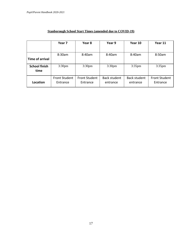|                              | Year 7                           | Year 8                           | Year 9                          | Year 10                  | Year 11                          |
|------------------------------|----------------------------------|----------------------------------|---------------------------------|--------------------------|----------------------------------|
| <b>Time of arrival</b>       | 8:30am                           | 8:40am                           | 8:40am                          | 8:40am                   | 8:50am                           |
| <b>School finish</b><br>time | 3:30 <sub>pm</sub>               | 3:30 <sub>pm</sub>               | 3:30 <sub>pm</sub>              | $3:35$ pm                | $3:35$ pm                        |
| Location                     | <b>Front Student</b><br>Entrance | <b>Front Student</b><br>Entrance | <b>Back student</b><br>entrance | Back student<br>entrance | <b>Front Student</b><br>Entrance |

# **Stanborough School Start Times (amended due to COVID-19)**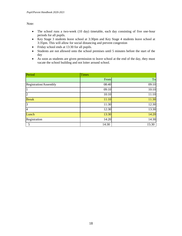Note:

- The school runs a two-week (10 day) timetable, each day consisting of five one-hour periods for all pupils.
- Key Stage 3 students leave school at 3:30pm and Key Stage 4 students leave school at 3:35pm. This will allow for social distancing and prevent congestion
- Friday school ends at 13:30 for all pupils.
- Students are not allowed onto the school premises until 5 minutes before the start of the day
- As soon as students are given permission to leave school at the end of the day, they must vacate the school building and not loiter around school.

| Period                | <b>Times</b> |       |
|-----------------------|--------------|-------|
|                       | From         | To    |
| Registration/Assembly | 08:40        | 09:10 |
| $\mathbf{1}$          | 09:10        | 10:10 |
| $\overline{2}$        | 10:10        | 11:10 |
| <b>Break</b>          | 11:10        | 11:30 |
| 3                     | 11:30        | 12:30 |
| $\overline{4}$        | 12:30        | 13:30 |
| Lunch                 | 13:30        | 14:20 |
| Registration          | 14:20        | 14:30 |
| 5                     | 14:30        | 15:30 |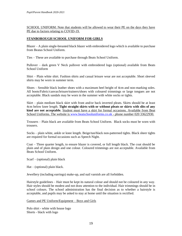SCHOOL UNIFORM: Note that students will be allowed to wear their PE on the days they have PE due to factors relating to COVID-19.

## <span id="page-19-0"></span>**STANBOROUGH SCHOOL UNIFORM FOR GIRLS**

Blazer – A plain single-breasted black blazer with embroidered logo which is available to purchase from Beatas School Uniform.

Ties – These are available to purchase through Beats School Uniform.

Pullover – dark green V Neck pullover with embroidered logo (optional) available from Beats School Uniform

Shirt – Plain white shirt. Fashion shirts and casual leisure wear are not acceptable. Short sleeved shirts may be worn in summer term.

Shoes – Sensible black leather shoes with a maximum heel height of 4cm and non-marking soles. All boots/Fabric/canvas/leisure/trainers/shoes with coloured trimmings or large tongues are not acceptable. Black sandals may be worn in the summer with white socks or tights.

Skirt – plain medium black skirt with front and/or back inverted pleats. Skirts should be at least 4cm below knee length. **Tight straight skirts with or without pleats or skirts with slits of any kind are not acceptable.** Student must have a skirt for formal occasions. Available from Beat School Uniforms. The website is [www.beatschooluniforms.co.uk](http://www.beatschooluniforms.co.uk/) - phone number 020 33622930.

Trousers – Plain black are available from Beats School Uniform. Black socks must be worn with trousers.

Socks – plain white, ankle or knee length. Beige/tan/black non-patterned tights. Black sheer tights are required for formal occasions such as Speech Night.

Coat – Three quarter length, to ensure blazer is covered, or full length black. The coat should be plain and of plain design and one colour. Coloured trimmings are not acceptable. Available from Beats School Uniform.

Scarf – (optional) plain black

Hat – (optional) plain black.

Jewellery (including earrings) make-up, and nail varnish are all forbidden.

Hairstyle guidelines – Hair must be kept its natural colour and should not be coloured in any way. Hair styles should be modest and not draw attention to the individual. Hair trimmings should be in school colours. The school administration has the final decision as to whether a hairstyle is acceptable, and pupils may be asked to stay at home until the situation is rectified.

Games and PE Uniform/Equipment – Boys and Girls

Polo shirt - white with house logo Shorts - black with logo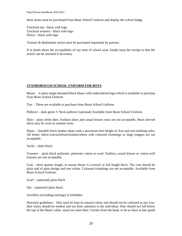these items must be purchased from Beats School Uniform and display the school badge.

Tracksuit top - black with logo Tracksuit trousers - black with logo Fleece - black with logo

Trainers & Badminton racket must be purchased separately by parents.

If in doubt about the acceptability of any item of school wear, kindly keep the receipt so that the article can be returned if necessary.

### <span id="page-20-0"></span>**STANBOROUGH SCHOOL UNIFORM FOR BOYS**

Blazer – A plain single-breasted black blazer with embroidered logo which is available to purchase from Beats School Uniform

Ties – These are available to purchase from Beats School Uniform.

Pullover – dark green V Neck pullover (optional) Available from Beats School Uniform.

Shirt – plain white shirt. Fashion shirts and casual leisure wear are not acceptable. Short sleeved shirts may be worn in summer term.

Shoes – Sensible black leather shoes with a maximum heel height of 3cm and non-marking soles. All boots/ fabric/canvas/leisure/trainers/shoes with coloured trimmings or large tongues are not acceptable.

Socks – plain black.

Trousers – plain black polyester, polyester cotton or wool. Fashion, casual leisure or cotton twill trousers are not acceptable.

Coat – three quarter length, to ensure blazer is covered, or full length black. The coat should be plain and of plain design and one colour. Coloured trimmings are not acceptable. Available from Beats School Uniform.

Scarf – (optional) plain black

Hat – (optional) plain black.

Jewellery (including earrings) is forbidden

Hairstyle guidelines – Hair must be kept its natural colour and should not be coloured in any way. Hair styles should be modest and not draw attention to the individual. Hair should not fall below the top of the blazer collar, stand out more than 3 inches from the head, or be as short as hair guide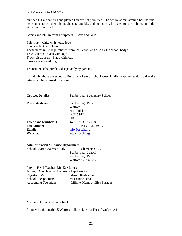number 1. Hair patterns and plaited hair are not permitted. The school administration has the final decision as to whether a hairstyle is acceptable, and pupils may be asked to stay at home until the situation is rectified.

Games and PE Uniform/Equipment – Boys and Girls

Polo shirt - white with house logo Shorts –black with logo These items must be purchased from the School and display the school badge. Tracksuit top - black with logo Tracksuit trousers - black with logo Fleece - black with logo

Trainers must be purchased separately by parents.

If in doubt about the acceptability of any item of school wear, kindly keep the receipt so that the article can be returned if necessary.

<span id="page-21-0"></span>

| <b>Stanborough Secondary School</b> |
|-------------------------------------|
| Stanborough Park                    |
| Watford                             |
| Hertfordshire                       |
| WD25 9JT                            |
| UK                                  |
| 44 (0) 1923 673-268                 |
| 44 (0) 1923 893-943                 |
| info@spsch.org                      |
| www.spsch.org                       |
|                                     |

#### **Administration / Finance Department:**

| School Board Chairman Judy | <b>Clements OBE</b> |
|----------------------------|---------------------|
|                            | Stanborough School  |
|                            | Stanborough Park    |
|                            | Watford WD25 9JZ    |

| Interim Head Teacher: Mr Kaz James         |                              |  |  |
|--------------------------------------------|------------------------------|--|--|
| Acting PA to Headteacher: Anna Papaioannou |                              |  |  |
| Registrar: Mrs                             | Mirian Keshishian            |  |  |
| School Receptionist:                       | Mrs Janice Davis             |  |  |
| <b>Accounting Technician</b>               | : Milimo Mumbo/ Giles Barham |  |  |

### **Map and Directions to School:**

From M1 exit junction 5 Watford follow signs for North Watford A41.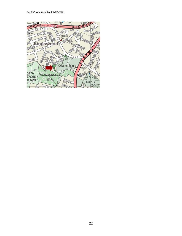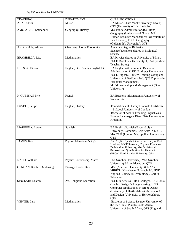| <b>TEACHING</b>            | <b>DEPARTMENT</b>                 | <b>QUALIFICATIONS</b>                                                                |
|----------------------------|-----------------------------------|--------------------------------------------------------------------------------------|
| AHN, Ji-Eun                | Music                             | BA Music (Sham Yook University, Seoul),                                              |
|                            |                                   | OTT (University of Hertfordshire)                                                    |
| AMO-ADJEI, Emmanuel        | Geography, History                | MA Public Administration/BA (Hons)                                                   |
|                            |                                   | Geography (University of Ghana, MA                                                   |
|                            |                                   | Human Resource Management (University of                                             |
|                            |                                   | East London), PGCE Geography                                                         |
|                            |                                   | (Goldsmith's University). QTS                                                        |
| ANDERSON, Alicea           | Chemistry, Home Economics         | <b>Associate Degree Biological</b>                                                   |
|                            |                                   | Science/bachelor's degree in Biological<br>Science                                   |
| <b>BRAMBILLA</b> , Lisa    | Mathematics                       | BA Physics degree at University of Milan.                                            |
|                            |                                   | PGCE Middlesex University. QTS (Qualified                                            |
|                            |                                   | Teacher Status)                                                                      |
| HUSSEY, Eileen             | English, Bus. Studies English Lit | BA English with minors in Business                                                   |
|                            |                                   | Administration & RE (Andrews University),                                            |
|                            |                                   | PGCE English (Chiltern Training Group and                                            |
|                            |                                   | University of Bedfordshire), QTS Diploma in                                          |
|                            |                                   | Personnel Management.                                                                |
|                            |                                   | M. Ed Leadership and Management (Open                                                |
|                            |                                   | University)                                                                          |
|                            |                                   |                                                                                      |
| N'GUESSAN Eric             | French,                           | BA Business information at University of                                             |
|                            |                                   | Westminster                                                                          |
| FUSTTE, Felipe             | English, History                  | Foundations of History Graduate Certificate                                          |
|                            |                                   | - Birkbeck University of London                                                      |
|                            |                                   | Bachelor of Arts in Teaching English as a                                            |
|                            |                                   | Foreign Language - River Plate University -                                          |
|                            |                                   | Argentina                                                                            |
|                            |                                   |                                                                                      |
| MAHBENA, Lorena            | Spanish                           | BA English/Spanish (Babes-Bolyai                                                     |
|                            |                                   | University, Romania), Certificate in ESOL,                                           |
|                            |                                   | MA TEFL(London Metropolitan University),                                             |
|                            |                                   | <b>QTS</b>                                                                           |
| JAMES, Kaz                 | Physical Education (Acting)       | Bsc, Applied Sports Science (University of East                                      |
|                            |                                   | London), PGCE Secondary Physical Education<br>De Montford University, Msc & National |
|                            |                                   | Professional Qualification for Headship                                              |
|                            |                                   | (NPQH) North London University. QTS                                                  |
|                            |                                   |                                                                                      |
| NALLI, William             | Physics, Citizenship, Maths       | BSc (Andhra University), MSc (Andhra                                                 |
|                            |                                   | University) BA in Education. QTS                                                     |
| GENGAN, Krishtee Mahasingh | Biology, Horticulture             | MSc (Aberdeen University) (CNAA)                                                     |
|                            |                                   | MIBIOL (Manchester Polytechnic), HND                                                 |
|                            |                                   | Applied Biology (Microbiology), Cert in                                              |
|                            |                                   | Education                                                                            |
| SINCLAIR, Sharon           | Art, Religious Education,         | PGCE in Art (Wall Hall College), BA (Hons)                                           |
|                            |                                   | Graphic Design & Image making, HND<br>Computer Applications in Art & Design          |
|                            |                                   | (University of Hertfordshire), Access to Art                                         |
|                            |                                   | and Design (University of Hertfordshire).                                            |
|                            |                                   | <b>QTS</b>                                                                           |
| <b>VENTER Lara</b>         | Mathematics                       | Bachelor of Science Degree, University of                                            |
|                            |                                   | the Free State, PGCE (South Africa,                                                  |
|                            |                                   | University of South Africa, QTS (England,                                            |